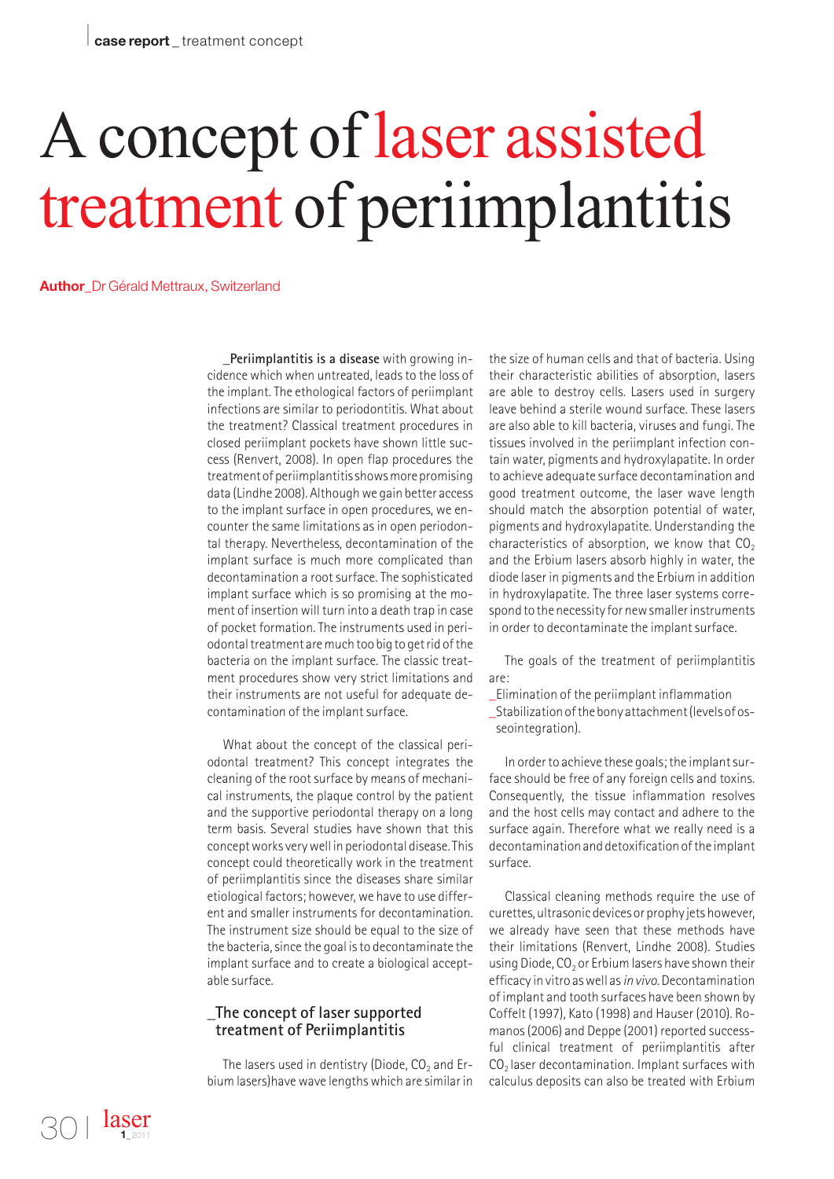## A concept of laser assisted treatment of periimplantitis

**Author**\_Dr Gérald Mettraux, Switzerland

**\_Periimplantitis is a disease** with growing incidence which when untreated, leads to the loss of the implant. The ethological factors of periimplant infections are similar to periodontitis. What about the treatment? Classical treatment procedures in closed periimplant pockets have shown little success (Renvert, 2008). In open flap procedures the treatment of periimplantitis shows more promising data (Lindhe 2008). Although we gain better access to the implant surface in open procedures, we encounter the same limitations as in open periodontal therapy. Nevertheless, decontamination of the implant surface is much more complicated than decontamination a root surface. The sophisticated implant surface which is so promising at the moment of insertion will turn into a death trap in case of pocket formation. The instruments used in periodontal treatment are much too big to get rid of the bacteria on the implant surface. The classic treatment procedures show very strict limitations and their instruments are not useful for adequate decontamination of the implant surface.

What about the concept of the classical periodontal treatment? This concept integrates the cleaning of the root surface by means of mechanical instruments, the plaque control by the patient and the supportive periodontal therapy on a long term basis. Several studies have shown that this concept works very well in periodontal disease. This concept could theoretically work in the treatment of periimplantitis since the diseases share similar etiological factors; however, we have to use different and smaller instruments for decontamination. The instrument size should be equal to the size of the bacteria, since the goal is to decontaminate the implant surface and to create a biological acceptable surface.

## **\_The concept of laser supported treatment of Periimplantitis**

The lasers used in dentistry (Diode,  $CO<sub>2</sub>$  and Erbium lasers)have wave lengths which are similar in

the size of human cells and that of bacteria. Using their characteristic abilities of absorption, lasers are able to destroy cells. Lasers used in surgery leave behind a sterile wound surface. These lasers are also able to kill bacteria, viruses and fungi. The tissues involved in the periimplant infection contain water, pigments and hydroxylapatite. In order to achieve adequate surface decontamination and good treatment outcome, the laser wave length should match the absorption potential of water, pigments and hydroxylapatite. Understanding the characteristics of absorption, we know that  $CO<sub>2</sub>$ and the Erbium lasers absorb highly in water, the diode laser in pigments and the Erbium in addition in hydroxylapatite. The three laser systems correspond to the necessity for new smaller instruments in order to decontaminate the implant surface.

The goals of the treatment of periimplantitis are:

- \_Elimination of the periimplant inflammation
- \_Stabilization of the bony attachment (levels of osseointegration).

In order to achieve these goals; the implant surface should be free of any foreign cells and toxins. Consequently, the tissue inflammation resolves and the host cells may contact and adhere to the surface again. Therefore what we really need is a decontamination and detoxification of the implant surface.

Classical cleaning methods require the use of curettes, ultrasonic devices or prophy jets however, we already have seen that these methods have their limitations (Renvert, Lindhe 2008). Studies using Diode,  $CO<sub>2</sub>$  or Erbium lasers have shown their efficacy in vitro as well as *in vivo*. Decontamination of implant and tooth surfaces have been shown by Coffelt (1997), Kato (1998) and Hauser (2010). Romanos (2006) and Deppe (2001) reported successful clinical treatment of periimplantitis after  $CO<sub>2</sub>$  laser decontamination. Implant surfaces with calculus deposits can also be treated with Erbium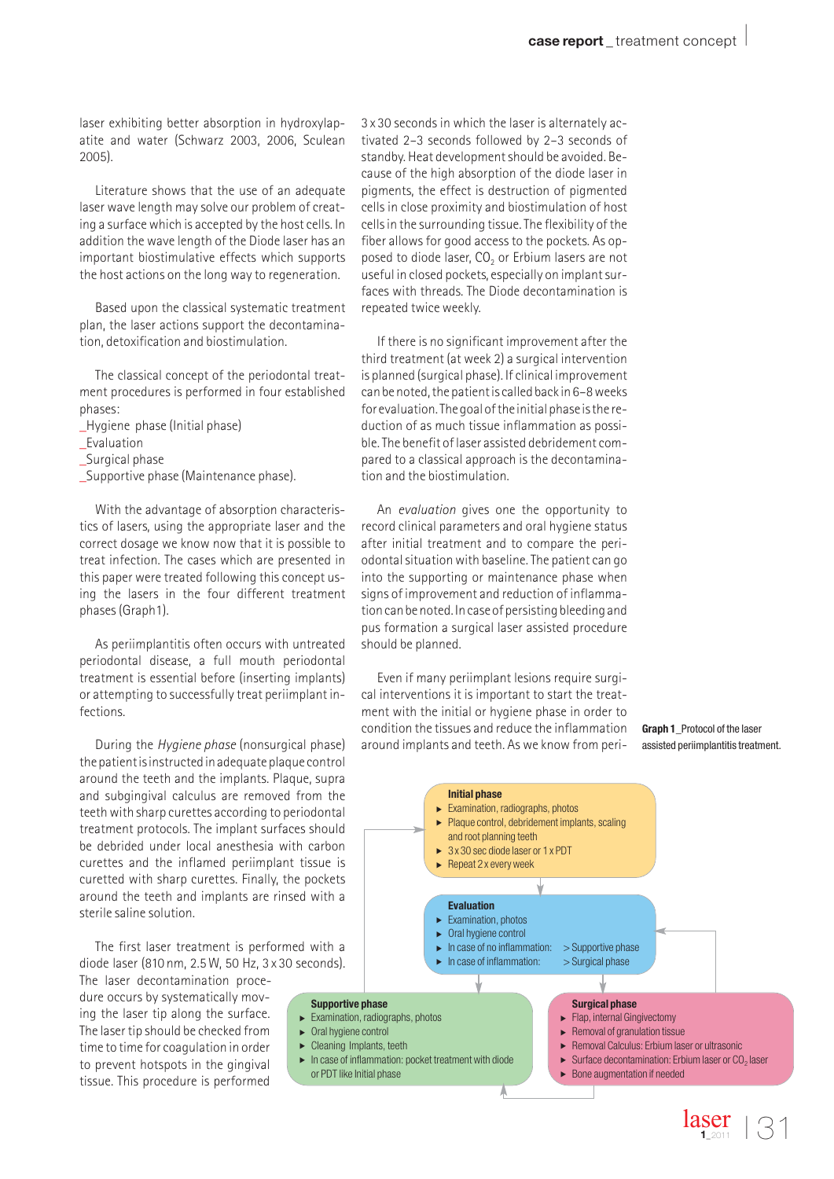laser exhibiting better absorption in hydroxylapatite and water (Schwarz 2003, 2006, Sculean 2005).

Literature shows that the use of an adequate laser wave length may solve our problem of creating a surface which is accepted by the host cells. In addition the wave length of the Diode laser has an important biostimulative effects which supports the host actions on the long way to regeneration.

Based upon the classical systematic treatment plan, the laser actions support the decontamination, detoxification and biostimulation.

The classical concept of the periodontal treatment procedures is performed in four established phases:

- \_Hygiene phase (Initial phase)
- \_Evaluation
- \_Surgical phase
- \_Supportive phase (Maintenance phase).

With the advantage of absorption characteristics of lasers, using the appropriate laser and the correct dosage we know now that it is possible to treat infection. The cases which are presented in this paper were treated following this concept using the lasers in the four different treatment phases (Graph1).

As periimplantitis often occurs with untreated periodontal disease, a full mouth periodontal treatment is essential before (inserting implants) or attempting to successfully treat periimplant infections.

During the *Hygiene phase* (nonsurgical phase) the patient is instructed in adequate plaque control around the teeth and the implants. Plaque, supra and subgingival calculus are removed from the teeth with sharp curettes according to periodontal treatment protocols. The implant surfaces should be debrided under local anesthesia with carbon curettes and the inflamed periimplant tissue is curetted with sharp curettes. Finally, the pockets around the teeth and implants are rinsed with a sterile saline solution.

The first laser treatment is performed with a diode laser (810 nm, 2.5 W, 50 Hz, 3 x 30 seconds).

The laser decontamination procedure occurs by systematically moving the laser tip along the surface. The laser tip should be checked from time to time for coagulation in order to prevent hotspots in the gingival tissue. This procedure is performed

3 x 30 seconds in which the laser is alternately activated 2–3 seconds followed by 2–3 seconds of standby. Heat development should be avoided. Because of the high absorption of the diode laser in pigments, the effect is destruction of pigmented cells in close proximity and biostimulation of host cells in the surrounding tissue. The flexibility of the fiber allows for good access to the pockets. As opposed to diode laser,  $CO<sub>2</sub>$  or Erbium lasers are not useful in closed pockets, especially on implant surfaces with threads. The Diode decontamination is repeated twice weekly.

If there is no significant improvement after the third treatment (at week 2) a surgical intervention is planned (surgical phase). If clinical improvement can be noted, the patient is called back in 6–8 weeks for evaluation. The goal of the initial phase is the reduction of as much tissue inflammation as possible. The benefit of laser assisted debridement compared to a classical approach is the decontamination and the biostimulation.

An *evaluation* gives one the opportunity to record clinical parameters and oral hygiene status after initial treatment and to compare the periodontal situation with baseline. The patient can go into the supporting or maintenance phase when signs of improvement and reduction of inflammation can be noted. In case of persisting bleeding and pus formation a surgical laser assisted procedure should be planned.

Even if many periimplant lesions require surgical interventions it is important to start the treatment with the initial or hygiene phase in order to condition the tissues and reduce the inflammation around implants and teeth. As we know from peri-

#### **Graph 1**\_Protocol of the laser assisted periimplantitis treatment.

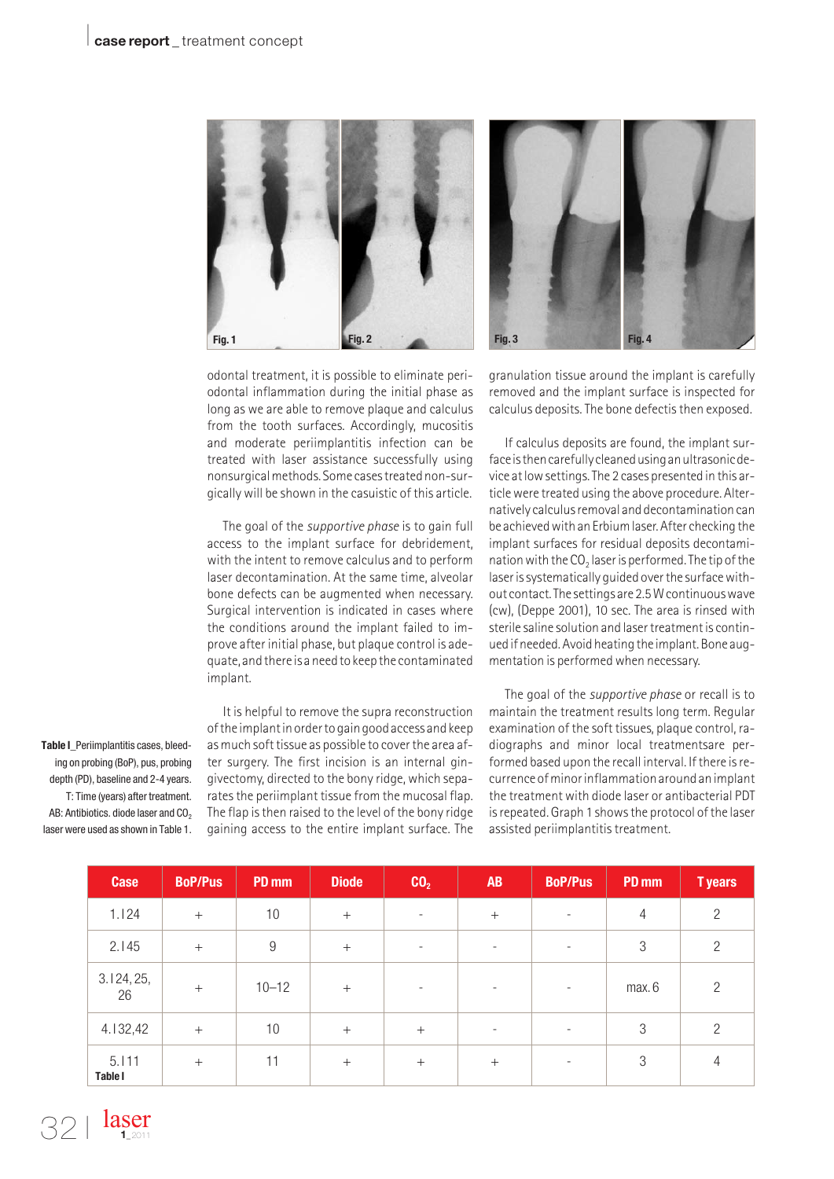

odontal treatment, it is possible to eliminate periodontal inflammation during the initial phase as long as we are able to remove plaque and calculus from the tooth surfaces. Accordingly, mucositis and moderate periimplantitis infection can be treated with laser assistance successfully using nonsurgical methods. Some cases treated non-surgically will be shown in the casuistic of this article.

The goal of the *supportive phase* is to gain full access to the implant surface for debridement, with the intent to remove calculus and to perform laser decontamination. At the same time, alveolar bone defects can be augmented when necessary. Surgical intervention is indicated in cases where the conditions around the implant failed to improve after initial phase, but plaque control is adequate, and there is a need to keep the contaminated implant.

It is helpful to remove the supra reconstruction of the implant in order to gain good access and keep as much soft tissue as possible to cover the area after surgery. The first incision is an internal gingivectomy, directed to the bony ridge, which separates the periimplant tissue from the mucosal flap. The flap is then raised to the level of the bony ridge gaining access to the entire implant surface. The



granulation tissue around the implant is carefully removed and the implant surface is inspected for calculus deposits. The bone defectis then exposed.

If calculus deposits are found, the implant surface is then carefully cleaned using an ultrasonic device at low settings. The 2 cases presented in this article were treated using the above procedure. Alternatively calculus removal and decontamination can be achieved with an Erbium laser. After checking the implant surfaces for residual deposits decontamination with the  $CO<sub>2</sub>$  laser is performed. The tip of the laser is systematically guided over the surface without contact. The settings are 2.5 W continuous wave (cw), (Deppe 2001), 10 sec. The area is rinsed with sterile saline solution and laser treatment is continued if needed. Avoid heating the implant. Bone augmentation is performed when necessary.

The goal of the *supportive phase* or recall is to maintain the treatment results long term. Regular examination of the soft tissues, plaque control, radiographs and minor local treatmentsare performed based upon the recall interval. If there is recurrence of minor inflammation around an implant the treatment with diode laser or antibacterial PDT is repeated. Graph 1 shows the protocol of the laser assisted periimplantitis treatment.

| <b>Case</b>             | <b>BoP/Pus</b> | PD mm     | <b>Diode</b> | CO <sub>2</sub>          | <b>AB</b>                | <b>BoP/Pus</b>           | PD mm  | <b>Tyears</b>  |
|-------------------------|----------------|-----------|--------------|--------------------------|--------------------------|--------------------------|--------|----------------|
| 1.124                   | $+$            | 10        | $+$          | $\overline{\phantom{a}}$ | $^{+}$                   |                          | 4      | $\overline{2}$ |
| 2.145                   | $+$            | 9         | $^{+}$       | $\overline{\phantom{a}}$ | $\overline{\phantom{a}}$ |                          | 3      | $\overline{2}$ |
| 3.124, 25,<br>26        | $+$            | $10 - 12$ | $^{+}$       | $\overline{\phantom{a}}$ | $\overline{\phantom{a}}$ | $\overline{\phantom{a}}$ | max. 6 | $\overline{c}$ |
| 4.132,42                | $+$            | 10        | $+$          | $+$                      | $\overline{\phantom{a}}$ | $\overline{\phantom{a}}$ | 3      | $\overline{2}$ |
| 5.111<br><b>Table I</b> | $^{+}$         | 11        | $^{+}$       | $+$                      | $^{+}$                   | $\qquad \qquad -$        | 3      | 4              |

**Table I**\_Periimplantitis cases, bleeding on probing (BoP), pus, probing depth (PD), baseline and 2-4 years. T: Time (years) after treatment. AB: Antibiotics. diode laser and CO<sub>2</sub> laser were used as shown in Table 1.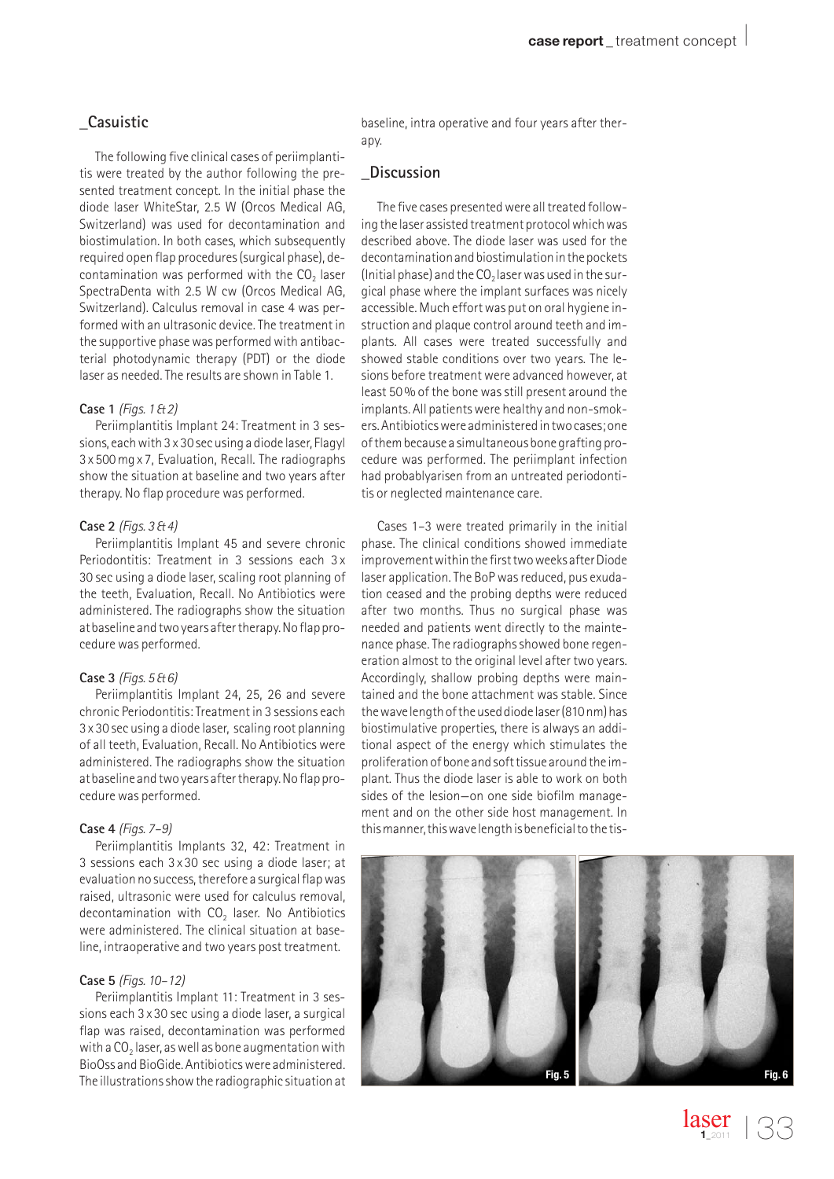## **\_Casuistic**

The following five clinical cases of periimplantitis were treated by the author following the presented treatment concept. In the initial phase the diode laser WhiteStar, 2.5 W (Orcos Medical AG, Switzerland) was used for decontamination and biostimulation. In both cases, which subsequently required open flap procedures (surgical phase), decontamination was performed with the  $CO<sub>2</sub>$  laser SpectraDenta with 2.5 W cw (Orcos Medical AG, Switzerland). Calculus removal in case 4 was performed with an ultrasonic device. The treatment in the supportive phase was performed with antibacterial photodynamic therapy (PDT) or the diode laser as needed. The results are shown in Table 1.

## **Case 1** *(Figs. 1 & 2)*

Periimplantitis Implant 24: Treatment in 3 sessions, each with 3 x 30 sec using a diode laser, Flagyl 3 x 500 mg x 7, Evaluation, Recall. The radiographs show the situation at baseline and two years after therapy. No flap procedure was performed.

## **Case 2** *(Figs. 3 & 4)*

Periimplantitis Implant 45 and severe chronic Periodontitis: Treatment in 3 sessions each 3 x 30 sec using a diode laser, scaling root planning of the teeth, Evaluation, Recall. No Antibiotics were administered. The radiographs show the situation at baseline and two years after therapy. No flap procedure was performed.

#### **Case 3** *(Figs. 5 & 6)*

Periimplantitis Implant 24, 25, 26 and severe chronic Periodontitis: Treatment in 3 sessions each 3 x 30 sec using a diode laser, scaling root planning of all teeth, Evaluation, Recall. No Antibiotics were administered. The radiographs show the situation at baseline and two years after therapy. No flap procedure was performed.

#### **Case 4** *(Figs. 7–9)*

Periimplantitis Implants 32, 42: Treatment in 3 sessions each 3 x 30 sec using a diode laser; at evaluation no success, therefore a surgical flap was raised, ultrasonic were used for calculus removal, decontamination with CO<sub>2</sub> laser. No Antibiotics were administered. The clinical situation at baseline, intraoperative and two years post treatment.

## **Case 5** *(Figs. 10–12)*

Periimplantitis Implant 11: Treatment in 3 sessions each 3 x 30 sec using a diode laser, a surgical flap was raised, decontamination was performed with a  $CO<sub>2</sub>$  laser, as well as bone augmentation with BioOss and BioGide. Antibiotics were administered. The illustrations show the radiographic situation at baseline, intra operative and four years after therapy.

## **\_Discussion**

The five cases presented were all treated following the laser assisted treatment protocol which was described above. The diode laser was used for the decontamination and biostimulation in the pockets (Initial phase) and the  $CO<sub>2</sub>$  laser was used in the surgical phase where the implant surfaces was nicely accessible. Much effort was put on oral hygiene instruction and plaque control around teeth and implants. All cases were treated successfully and showed stable conditions over two years. The lesions before treatment were advanced however, at least 50 % of the bone was still present around the implants. All patients were healthy and non-smokers. Antibiotics were administered in two cases; one of them because a simultaneous bone grafting procedure was performed. The periimplant infection had probablyarisen from an untreated periodontitis or neglected maintenance care.

Cases 1–3 were treated primarily in the initial phase. The clinical conditions showed immediate improvement within the first two weeks after Diode laser application. The BoP was reduced, pus exudation ceased and the probing depths were reduced after two months. Thus no surgical phase was needed and patients went directly to the maintenance phase. The radiographs showed bone regeneration almost to the original level after two years. Accordingly, shallow probing depths were maintained and the bone attachment was stable. Since the wave length of the used diode laser (810 nm) has biostimulative properties, there is always an additional aspect of the energy which stimulates the proliferation of bone and soft tissue around the implant. Thus the diode laser is able to work on both sides of the lesion—on one side biofilm management and on the other side host management. In this manner, this wave length is beneficial to the tis-



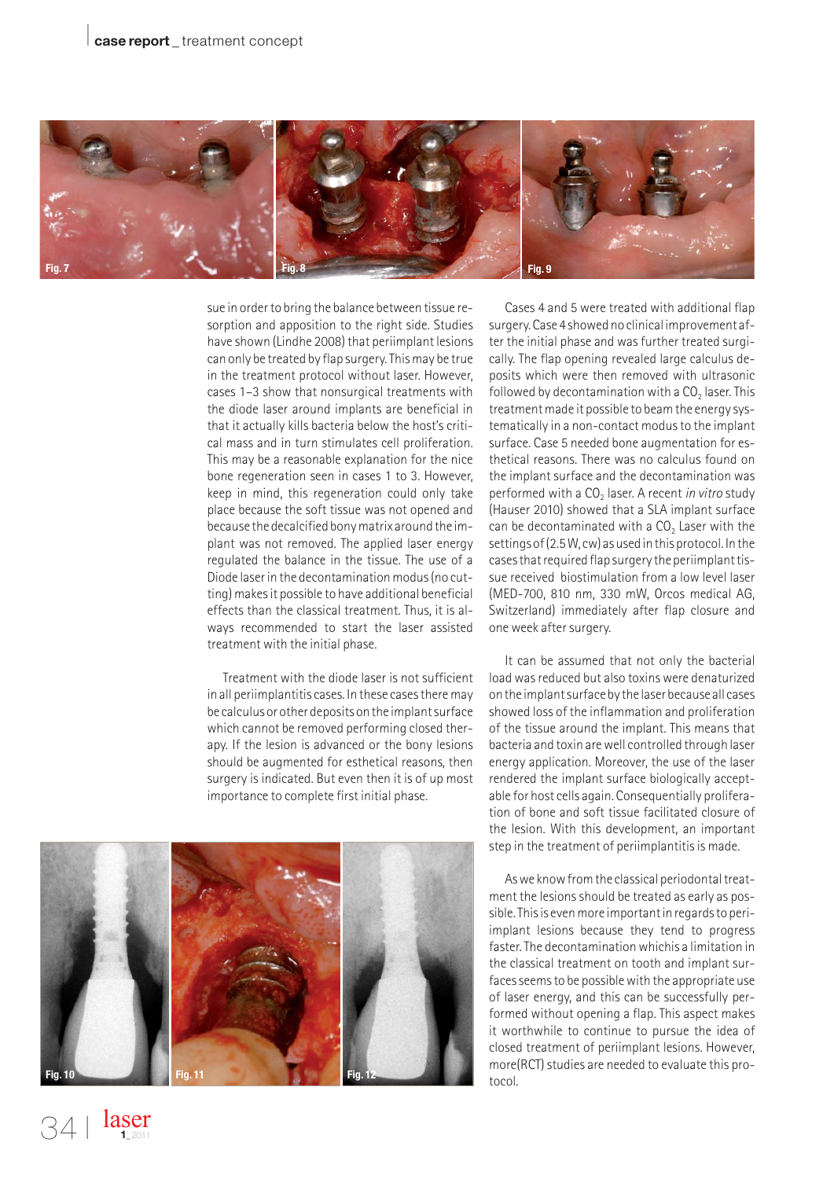

sue in order to bring the balance between tissue resorption and apposition to the right side. Studies have shown (Lindhe 2008) that periimplant lesions can only be treated by flap surgery. This may be true in the treatment protocol without laser. However, cases 1–3 show that nonsurgical treatments with the diode laser around implants are beneficial in that it actually kills bacteria below the host's critical mass and in turn stimulates cell proliferation. This may be a reasonable explanation for the nice bone regeneration seen in cases 1 to 3. However, keep in mind, this regeneration could only take place because the soft tissue was not opened and because the decalcified bony matrix around the implant was not removed. The applied laser energy regulated the balance in the tissue. The use of a Diode laser in the decontamination modus (no cutting) makes it possible to have additional beneficial effects than the classical treatment. Thus, it is always recommended to start the laser assisted treatment with the initial phase.

Treatment with the diode laser is not sufficient in all periimplantitis cases. In these cases there may be calculus or other deposits on the implant surface which cannot be removed performing closed therapy. If the lesion is advanced or the bony lesions should be augmented for esthetical reasons, then surgery is indicated. But even then it is of up most importance to complete first initial phase.



Cases 4 and 5 were treated with additional flap surgery. Case 4 showed no clinical improvement after the initial phase and was further treated surgically. The flap opening revealed large calculus deposits which were then removed with ultrasonic followed by decontamination with a  $CO<sub>2</sub>$  laser. This treatment made it possible to beam the energy systematically in a non-contact modus to the implant surface. Case 5 needed bone augmentation for esthetical reasons. There was no calculus found on the implant surface and the decontamination was performed with a CO<sub>2</sub> laser. A recent *in vitro* study (Hauser 2010) showed that a SLA implant surface can be decontaminated with a  $CO<sub>2</sub>$  Laser with the settings of (2.5 W, cw) as used in this protocol. In the cases that required flap surgery the periimplant tissue received biostimulation from a low level laser (MED-700, 810 nm, 330 mW, Orcos medical AG, Switzerland) immediately after flap closure and one week after surgery.

It can be assumed that not only the bacterial load was reduced but also toxins were denaturized on the implant surface by the laser because all cases showed loss of the inflammation and proliferation of the tissue around the implant. This means that bacteria and toxin are well controlled through laser energy application. Moreover, the use of the laser rendered the implant surface biologically acceptable for host cells again. Consequentially proliferation of bone and soft tissue facilitated closure of the lesion. With this development, an important step in the treatment of periimplantitis is made.

As we know from the classical periodontal treatment the lesions should be treated as early as possible. This is even more important in regards to periimplant lesions because they tend to progress faster. The decontamination whichis a limitation in the classical treatment on tooth and implant surfaces seems to be possible with the appropriate use of laser energy, and this can be successfully performed without opening a flap. This aspect makes it worthwhile to continue to pursue the idea of closed treatment of periimplant lesions. However, more(RCT) studies are needed to evaluate this protocol.

laser **1**\_2011